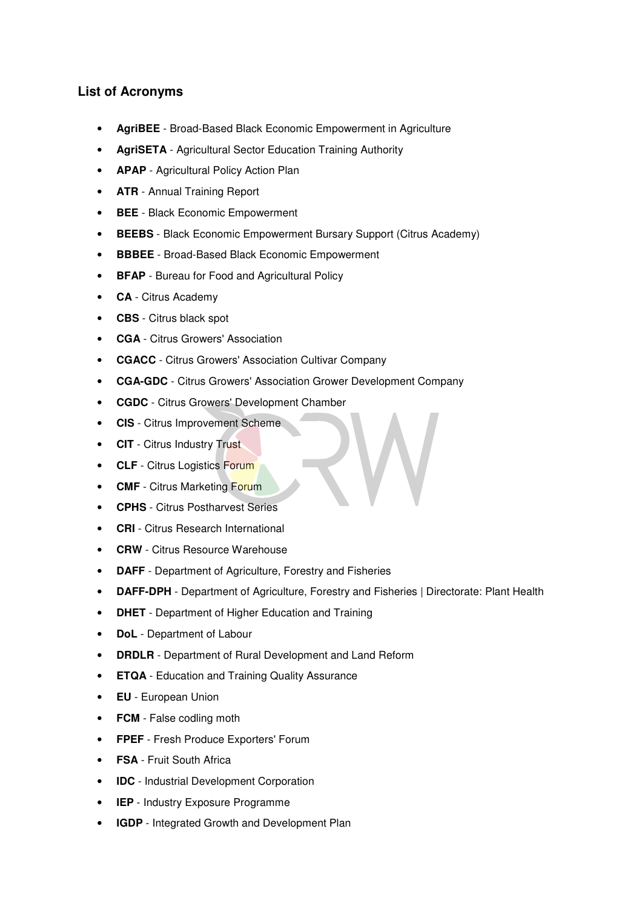## **List of Acronyms**

- **AgriBEE** Broad-Based Black Economic Empowerment in Agriculture
- **AgriSETA** Agricultural Sector Education Training Authority
- **APAP** Agricultural Policy Action Plan
- **ATR**  Annual Training Report
- **BEE** Black Economic Empowerment
- **BEEBS** Black Economic Empowerment Bursary Support (Citrus Academy)
- **BBBEE** Broad-Based Black Economic Empowerment
- **BFAP** Bureau for Food and Agricultural Policy
- **CA** Citrus Academy
- **CBS** Citrus black spot
- **CGA** Citrus Growers' Association
- **CGACC** Citrus Growers' Association Cultivar Company
- **CGA-GDC** Citrus Growers' Association Grower Development Company
- **CGDC** Citrus Growers' Development Chamber
- **CIS**  Citrus Improvement Scheme
- **CIT** Citrus Industry Trust
- **CLF** Citrus Logistics Forum
- **CMF** Citrus Marketing Forum
- **CPHS** Citrus Postharvest Series
- **CRI** Citrus Research International
- **CRW** Citrus Resource Warehouse
- **DAFF** Department of Agriculture, Forestry and Fisheries
- **DAFF-DPH** Department of Agriculture, Forestry and Fisheries | Directorate: Plant Health
- **DHET** Department of Higher Education and Training
- **DoL** Department of Labour
- **DRDLR** Department of Rural Development and Land Reform
- **ETQA** Education and Training Quality Assurance
- **EU** European Union
- **FCM** False codling moth
- **FPEF** Fresh Produce Exporters' Forum
- **FSA** Fruit South Africa
- **IDC** Industrial Development Corporation
- **IEP** Industry Exposure Programme
- **IGDP** Integrated Growth and Development Plan